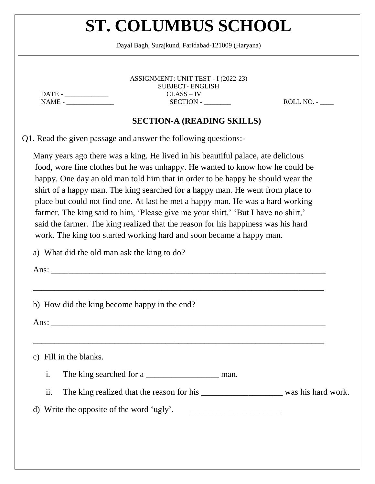Dayal Bagh, Surajkund, Faridabad-121009 (Haryana)

ASSIGNMENT: UNIT TEST - I (2022-23) SUBJECT- ENGLISH DATE - \_\_\_\_\_\_\_\_\_\_\_\_\_ CLASS – IV NAME - \_\_\_\_\_\_\_\_\_\_\_\_\_\_ SECTION - \_\_\_\_\_\_\_\_ ROLL NO. - \_\_\_\_

#### **SECTION-A (READING SKILLS)**

Q1. Read the given passage and answer the following questions:-

Many years ago there was a king. He lived in his beautiful palace, ate delicious food, wore fine clothes but he was unhappy. He wanted to know how he could be happy. One day an old man told him that in order to be happy he should wear the shirt of a happy man. The king searched for a happy man. He went from place to place but could not find one. At last he met a happy man. He was a hard working farmer. The king said to him, 'Please give me your shirt.' 'But I have no shirt,' said the farmer. The king realized that the reason for his happiness was his hard work. The king too started working hard and soon became a happy man.

\_\_\_\_\_\_\_\_\_\_\_\_\_\_\_\_\_\_\_\_\_\_\_\_\_\_\_\_\_\_\_\_\_\_\_\_\_\_\_\_\_\_\_\_\_\_\_\_\_\_\_\_\_\_\_\_\_\_\_\_\_\_\_\_\_\_\_\_

\_\_\_\_\_\_\_\_\_\_\_\_\_\_\_\_\_\_\_\_\_\_\_\_\_\_\_\_\_\_\_\_\_\_\_\_\_\_\_\_\_\_\_\_\_\_\_\_\_\_\_\_\_\_\_\_\_\_\_\_\_\_\_\_\_\_\_\_

a) What did the old man ask the king to do?

Ans:  $\Box$ 

b) How did the king become happy in the end?

Ans: \_\_\_\_\_\_\_\_\_\_\_\_\_\_\_\_\_\_\_\_\_\_\_\_\_\_\_\_\_\_\_\_\_\_\_\_\_\_\_\_\_\_\_\_\_\_\_\_\_\_\_\_\_\_\_\_\_\_\_\_\_\_\_\_

c) Fill in the blanks.

i. The king searched for a \_\_\_\_\_\_\_\_\_\_\_\_\_\_\_\_\_\_\_\_\_\_\_ man.

ii. The king realized that the reason for his \_\_\_\_\_\_\_\_\_\_\_\_\_\_\_\_\_\_\_\_\_\_\_\_ was his hard work.

#### d) Write the opposite of the word 'ugly'.  $\qquad \qquad \qquad$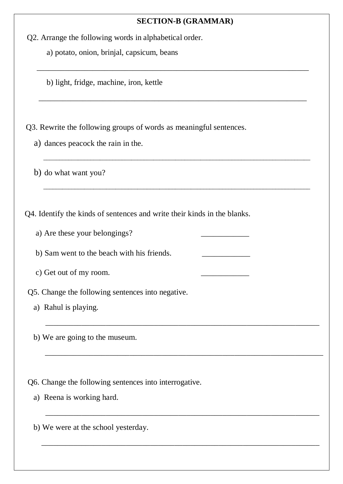#### **SECTION-B (GRAMMAR)**

 $\frac{1}{\sqrt{2}}$  ,  $\frac{1}{\sqrt{2}}$  ,  $\frac{1}{\sqrt{2}}$  ,  $\frac{1}{\sqrt{2}}$  ,  $\frac{1}{\sqrt{2}}$  ,  $\frac{1}{\sqrt{2}}$  ,  $\frac{1}{\sqrt{2}}$  ,  $\frac{1}{\sqrt{2}}$  ,  $\frac{1}{\sqrt{2}}$  ,  $\frac{1}{\sqrt{2}}$  ,  $\frac{1}{\sqrt{2}}$  ,  $\frac{1}{\sqrt{2}}$  ,  $\frac{1}{\sqrt{2}}$  ,  $\frac{1}{\sqrt{2}}$  ,  $\frac{1}{\sqrt{2}}$ 

 $\frac{1}{2}$  , and the contribution of the contribution of the contribution of the contribution of the contribution of the contribution of the contribution of the contribution of the contribution of the contribution of the c

\_\_\_\_\_\_\_\_\_\_\_\_\_\_\_\_\_\_\_\_\_\_\_\_\_\_\_\_\_\_\_\_\_\_\_\_\_\_\_\_\_\_\_\_\_\_\_\_\_\_\_\_\_\_\_\_\_\_\_\_\_\_\_\_\_\_\_\_\_\_\_\_\_\_\_\_\_\_\_\_\_\_\_\_\_

\_\_\_\_\_\_\_\_\_\_\_\_\_\_\_\_\_\_\_\_\_\_\_\_\_\_\_\_\_\_\_\_\_\_\_\_\_\_\_\_\_\_\_\_\_\_\_\_\_\_\_\_\_\_\_\_\_\_\_\_\_\_\_\_\_\_\_\_\_\_\_\_\_\_\_\_\_\_\_\_\_\_\_\_\_

\_\_\_\_\_\_\_\_\_\_\_\_\_\_\_\_\_\_\_\_\_\_\_\_\_\_\_\_\_\_\_\_\_\_\_\_\_\_\_\_\_\_\_\_\_\_\_\_\_\_\_\_\_\_\_\_\_\_\_\_\_\_\_\_\_\_\_\_

\_\_\_\_\_\_\_\_\_\_\_\_\_\_\_\_\_\_\_\_\_\_\_\_\_\_\_\_\_\_\_\_\_\_\_\_\_\_\_\_\_\_\_\_\_\_\_\_\_\_\_\_\_\_\_\_\_\_\_\_\_\_\_\_\_\_\_\_\_

\_\_\_\_\_\_\_\_\_\_\_\_\_\_\_\_\_\_\_\_\_\_\_\_\_\_\_\_\_\_\_\_\_\_\_\_\_\_\_\_\_\_\_\_\_\_\_\_\_\_\_\_\_\_\_\_\_\_\_\_\_\_\_\_\_\_\_\_

\_\_\_\_\_\_\_\_\_\_\_\_\_\_\_\_\_\_\_\_\_\_\_\_\_\_\_\_\_\_\_\_\_\_\_\_\_\_\_\_\_\_\_\_\_\_\_\_\_\_\_\_\_\_\_\_\_\_\_\_\_\_\_\_\_\_\_\_\_

a) potato, onion, brinjal, capsicum, beans

b) light, fridge, machine, iron, kettle

Q3. Rewrite the following groups of words as meaningful sentences.

a) dances peacock the rain in the.

b) do what want you?

Q4. Identify the kinds of sentences and write their kinds in the blanks.

a) Are these your belongings?

b) Sam went to the beach with his friends.

c) Get out of my room.

- Q5. Change the following sentences into negative.
	- a) Rahul is playing.
	- b) We are going to the museum.

Q6. Change the following sentences into interrogative.

a) Reena is working hard.

b) We were at the school yesterday.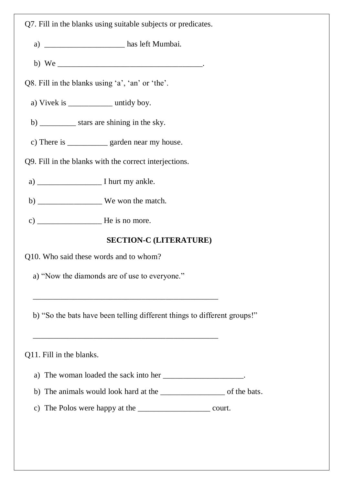Q7. Fill in the blanks using suitable subjects or predicates.

a) \_\_\_\_\_\_\_\_\_\_\_\_\_\_\_\_\_\_\_\_ has left Mumbai.

b) We  $\blacksquare$ 

Q8. Fill in the blanks using 'a', 'an' or 'the'.

a) Vivek is untidy boy.

b) \_\_\_\_\_\_\_\_\_\_\_ stars are shining in the sky.

c) There is \_\_\_\_\_\_\_\_\_\_ garden near my house.

Q9. Fill in the blanks with the correct interjections.

a) I hurt my ankle.

b) \_\_\_\_\_\_\_\_\_\_\_\_\_\_\_\_\_\_\_\_\_\_ We won the match.

c)  $\frac{1}{\sqrt{1-\frac{1}{\sqrt{1-\frac{1}{\sqrt{1-\frac{1}{\sqrt{1-\frac{1}{\sqrt{1-\frac{1}{\sqrt{1-\frac{1}{\sqrt{1-\frac{1}{\sqrt{1-\frac{1}{\sqrt{1-\frac{1}{\sqrt{1-\frac{1}{\sqrt{1-\frac{1}{\sqrt{1-\frac{1}{\sqrt{1-\frac{1}{\sqrt{1-\frac{1}{\sqrt{1-\frac{1}{\sqrt{1-\frac{1}{\sqrt{1-\frac{1}{\sqrt{1-\frac{1}{\sqrt{1-\frac{1}{\sqrt{1-\frac{1}{\sqrt{1-\frac{1}{\sqrt{1-\frac{1}{\sqrt{1-\frac{1}{\sqrt{1-\$ 

### **SECTION-C (LITERATURE)**

Q10. Who said these words and to whom?

a) "Now the diamonds are of use to everyone."

\_\_\_\_\_\_\_\_\_\_\_\_\_\_\_\_\_\_\_\_\_\_\_\_\_\_\_\_\_\_\_\_\_\_\_\_\_\_\_\_\_\_\_\_\_\_

\_\_\_\_\_\_\_\_\_\_\_\_\_\_\_\_\_\_\_\_\_\_\_\_\_\_\_\_\_\_\_\_\_\_\_\_\_\_\_\_\_\_\_\_\_\_

b) "So the bats have been telling different things to different groups!"

#### Q11. Fill in the blanks.

a) The woman loaded the sack into her the sack into her the woman loaded the sack into her

- b) The animals would look hard at the \_\_\_\_\_\_\_\_\_\_\_\_\_\_\_\_ of the bats.
- c) The Polos were happy at the \_\_\_\_\_\_\_\_\_\_\_\_\_\_\_\_\_\_ court.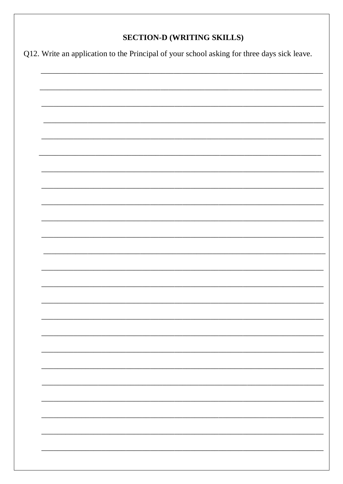### **SECTION-D (WRITING SKILLS)**

Q12. Write an application to the Principal of your school asking for three days sick leave.

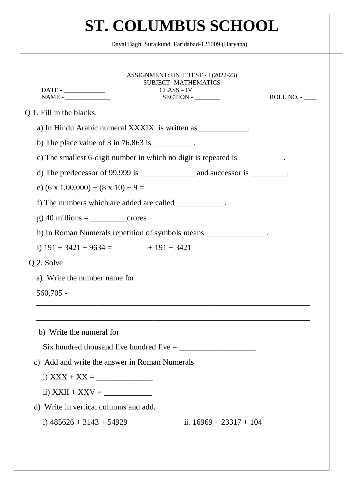Dayal Bagh, Surajkund, Faridabad-121009 (Haryana)

| $\label{eq:NAME} \text{NAME -}\_$                                     | ASSIGNMENT: UNIT TEST - I (2022-23)<br><b>SUBJECT-MATHEMATICS</b><br>$CLASS - IV$<br>$SECTION -$                                                                                                                                                                                                                                                                                                      | ROLL NO. - |
|-----------------------------------------------------------------------|-------------------------------------------------------------------------------------------------------------------------------------------------------------------------------------------------------------------------------------------------------------------------------------------------------------------------------------------------------------------------------------------------------|------------|
| Q 1. Fill in the blanks.                                              |                                                                                                                                                                                                                                                                                                                                                                                                       |            |
|                                                                       | a) In Hindu Arabic numeral XXXIX is written as _____________.                                                                                                                                                                                                                                                                                                                                         |            |
| b) The place value of $3 \text{ in } 76,863 \text{ is }$ ___________. |                                                                                                                                                                                                                                                                                                                                                                                                       |            |
|                                                                       | c) The smallest 6-digit number in which no digit is repeated is ___________.                                                                                                                                                                                                                                                                                                                          |            |
|                                                                       | d) The predecessor of 99,999 is $\frac{1}{\sqrt{1-\frac{1}{\sqrt{1-\frac{1}{\sqrt{1-\frac{1}{\sqrt{1-\frac{1}{\sqrt{1-\frac{1}{\sqrt{1-\frac{1}{\sqrt{1-\frac{1}{\sqrt{1-\frac{1}{\sqrt{1-\frac{1}{\sqrt{1-\frac{1}{\sqrt{1-\frac{1}{\sqrt{1-\frac{1}{\sqrt{1-\frac{1}{\sqrt{1-\frac{1}{\sqrt{1-\frac{1}{\sqrt{1-\frac{1}{\sqrt{1-\frac{1}{\sqrt{1-\frac{1}{\sqrt{1-\frac{1}{\sqrt{1-\frac{1}{\sqrt{$ |            |
|                                                                       |                                                                                                                                                                                                                                                                                                                                                                                                       |            |
| f) The numbers which are added are called ____________.               |                                                                                                                                                                                                                                                                                                                                                                                                       |            |
|                                                                       |                                                                                                                                                                                                                                                                                                                                                                                                       |            |
|                                                                       | h) In Roman Numerals repetition of symbols means ________________.                                                                                                                                                                                                                                                                                                                                    |            |
| i) $191 + 3421 + 9634 =$ $- 191 + 3421$                               |                                                                                                                                                                                                                                                                                                                                                                                                       |            |
| Q 2. Solve                                                            |                                                                                                                                                                                                                                                                                                                                                                                                       |            |
| a) Write the number name for                                          |                                                                                                                                                                                                                                                                                                                                                                                                       |            |
| $560,705 -$                                                           |                                                                                                                                                                                                                                                                                                                                                                                                       |            |
| b) Write the numeral for                                              |                                                                                                                                                                                                                                                                                                                                                                                                       |            |
|                                                                       |                                                                                                                                                                                                                                                                                                                                                                                                       |            |
| c) Add and write the answer in Roman Numerals                         |                                                                                                                                                                                                                                                                                                                                                                                                       |            |
|                                                                       |                                                                                                                                                                                                                                                                                                                                                                                                       |            |
| ii) $XXII + XXV =$                                                    |                                                                                                                                                                                                                                                                                                                                                                                                       |            |
| d) Write in vertical columns and add.                                 |                                                                                                                                                                                                                                                                                                                                                                                                       |            |
| i) $485626 + 3143 + 54929$                                            | ii. $16969 + 23317 + 104$                                                                                                                                                                                                                                                                                                                                                                             |            |
|                                                                       |                                                                                                                                                                                                                                                                                                                                                                                                       |            |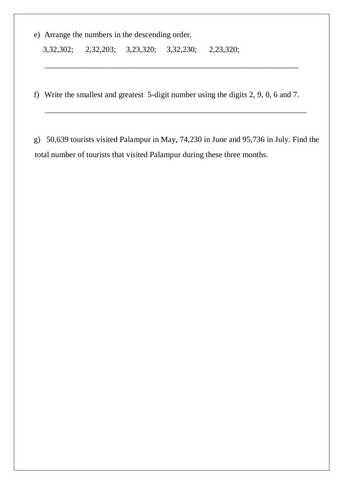e) Arrange the numbers in the descending order.

3,32,302; 2,32,203; 3,23,320; 3,32,230; 2,23,320;

f) Write the smallest and greatest 5-digit number using the digits 2, 9, 0, 6 and 7.

\_\_\_\_\_\_\_\_\_\_\_\_\_\_\_\_\_\_\_\_\_\_\_\_\_\_\_\_\_\_\_\_\_\_\_\_\_\_\_\_\_\_\_\_\_\_\_\_\_\_\_\_\_\_\_\_\_\_\_\_\_\_\_

g) 50,639 tourists visited Palampur in May, 74,230 in June and 95,736 in July. Find the total number of tourists that visited Palampur during these three months.

\_\_\_\_\_\_\_\_\_\_\_\_\_\_\_\_\_\_\_\_\_\_\_\_\_\_\_\_\_\_\_\_\_\_\_\_\_\_\_\_\_\_\_\_\_\_\_\_\_\_\_\_\_\_\_\_\_\_\_\_\_\_\_\_\_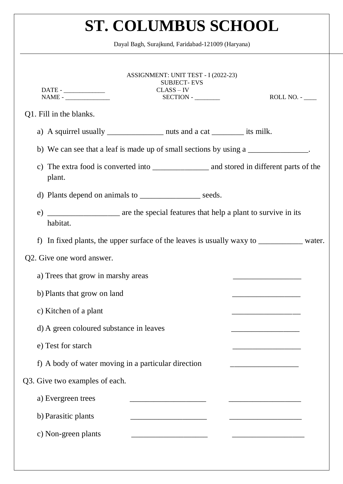Dayal Bagh, Surajkund, Faridabad-121009 (Haryana)

| ASSIGNMENT: UNIT TEST - I (2022-23)<br><b>SUBJECT-EVS</b><br>$CLASS - IV$                |
|------------------------------------------------------------------------------------------|
| SECTION - ________<br>$NAME -$<br>$ROLL NO. -$                                           |
| Q1. Fill in the blanks.                                                                  |
| a) A squirrel usually ________________ nuts and a cat __________ its milk.               |
| b) We can see that a leaf is made up of small sections by using a                        |
| plant.                                                                                   |
| d) Plants depend on animals to ____________________ seeds.                               |
| habitat.                                                                                 |
| f) In fixed plants, the upper surface of the leaves is usually waxy to __________ water. |
| Q2. Give one word answer.                                                                |
| a) Trees that grow in marshy areas                                                       |
| b) Plants that grow on land                                                              |
| c) Kitchen of a plant                                                                    |
| d) A green coloured substance in leaves                                                  |
| e) Test for starch                                                                       |
| f) A body of water moving in a particular direction                                      |
| Q3. Give two examples of each.                                                           |
| a) Evergreen trees                                                                       |
| b) Parasitic plants                                                                      |
| c) Non-green plants                                                                      |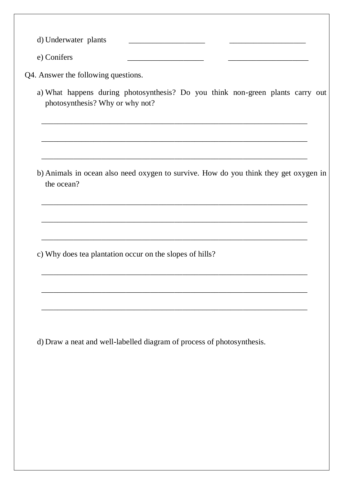d) Underwater plants e) Conifers

Q4. Answer the following questions.

a) What happens during photosynthesis? Do you think non-green plants carry out photosynthesis? Why or why not?

\_\_\_\_\_\_\_\_\_\_\_\_\_\_\_\_\_\_\_\_\_\_\_\_\_\_\_\_\_\_\_\_\_\_\_\_\_\_\_\_\_\_\_\_\_\_\_\_\_\_\_\_\_\_\_\_\_\_\_\_\_\_\_\_\_\_

\_\_\_\_\_\_\_\_\_\_\_\_\_\_\_\_\_\_\_\_\_\_\_\_\_\_\_\_\_\_\_\_\_\_\_\_\_\_\_\_\_\_\_\_\_\_\_\_\_\_\_\_\_\_\_\_\_\_\_\_\_\_\_\_\_\_

\_\_\_\_\_\_\_\_\_\_\_\_\_\_\_\_\_\_\_\_\_\_\_\_\_\_\_\_\_\_\_\_\_\_\_\_\_\_\_\_\_\_\_\_\_\_\_\_\_\_\_\_\_\_\_\_\_\_\_\_\_\_\_\_\_\_

\_\_\_\_\_\_\_\_\_\_\_\_\_\_\_\_\_\_\_\_\_\_\_\_\_\_\_\_\_\_\_\_\_\_\_\_\_\_\_\_\_\_\_\_\_\_\_\_\_\_\_\_\_\_\_\_\_\_\_\_\_\_\_\_\_\_

\_\_\_\_\_\_\_\_\_\_\_\_\_\_\_\_\_\_\_\_\_\_\_\_\_\_\_\_\_\_\_\_\_\_\_\_\_\_\_\_\_\_\_\_\_\_\_\_\_\_\_\_\_\_\_\_\_\_\_\_\_\_\_\_\_\_

\_\_\_\_\_\_\_\_\_\_\_\_\_\_\_\_\_\_\_\_\_\_\_\_\_\_\_\_\_\_\_\_\_\_\_\_\_\_\_\_\_\_\_\_\_\_\_\_\_\_\_\_\_\_\_\_\_\_\_\_\_\_\_\_\_\_

\_\_\_\_\_\_\_\_\_\_\_\_\_\_\_\_\_\_\_\_\_\_\_\_\_\_\_\_\_\_\_\_\_\_\_\_\_\_\_\_\_\_\_\_\_\_\_\_\_\_\_\_\_\_\_\_\_\_\_\_\_\_\_\_\_\_

\_\_\_\_\_\_\_\_\_\_\_\_\_\_\_\_\_\_\_\_\_\_\_\_\_\_\_\_\_\_\_\_\_\_\_\_\_\_\_\_\_\_\_\_\_\_\_\_\_\_\_\_\_\_\_\_\_\_\_\_\_\_\_\_\_\_

\_\_\_\_\_\_\_\_\_\_\_\_\_\_\_\_\_\_\_\_\_\_\_\_\_\_\_\_\_\_\_\_\_\_\_\_\_\_\_\_\_\_\_\_\_\_\_\_\_\_\_\_\_\_\_\_\_\_\_\_\_\_\_\_\_\_

b) Animals in ocean also need oxygen to survive. How do you think they get oxygen in the ocean?

c) Why does tea plantation occur on the slopes of hills?

d) Draw a neat and well-labelled diagram of process of photosynthesis.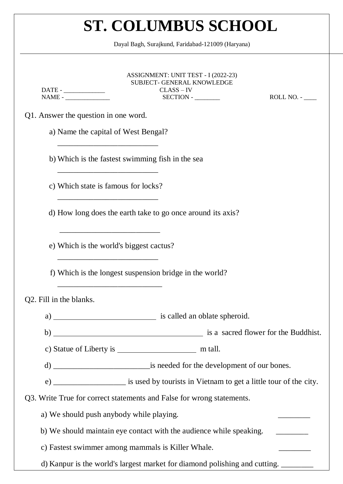Dayal Bagh, Surajkund, Faridabad-121009 (Haryana)

| NAME -                                   | ASSIGNMENT: UNIT TEST - I (2022-23)<br><b>SUBJECT- GENERAL KNOWLEDGE</b><br>$CLASS - IV$   | $ROLL NO. -$ |
|------------------------------------------|--------------------------------------------------------------------------------------------|--------------|
| Q1. Answer the question in one word.     |                                                                                            |              |
| a) Name the capital of West Bengal?      |                                                                                            |              |
|                                          | b) Which is the fastest swimming fish in the sea                                           |              |
| c) Which state is famous for locks?      |                                                                                            |              |
|                                          | d) How long does the earth take to go once around its axis?                                |              |
| e) Which is the world's biggest cactus?  |                                                                                            |              |
|                                          | f) Which is the longest suspension bridge in the world?                                    |              |
| Q2. Fill in the blanks.                  |                                                                                            |              |
| a)                                       | is called an oblate spheroid.                                                              |              |
| b)                                       | is a sacred flower for the Buddhist.                                                       |              |
|                                          |                                                                                            |              |
|                                          |                                                                                            |              |
|                                          | e) ______________________ is used by tourists in Vietnam to get a little tour of the city. |              |
|                                          | Q3. Write True for correct statements and False for wrong statements.                      |              |
| a) We should push anybody while playing. |                                                                                            |              |
|                                          | b) We should maintain eye contact with the audience while speaking.                        |              |
|                                          | c) Fastest swimmer among mammals is Killer Whale.                                          |              |
|                                          | d) Kanpur is the world's largest market for diamond polishing and cutting. ______          |              |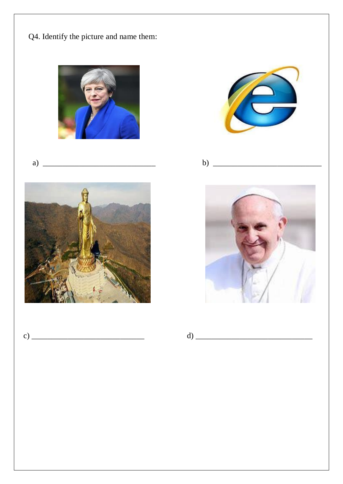Q4. Identify the picture and name them:



$$
a) \ \ \underline{\hspace{1cm}}
$$











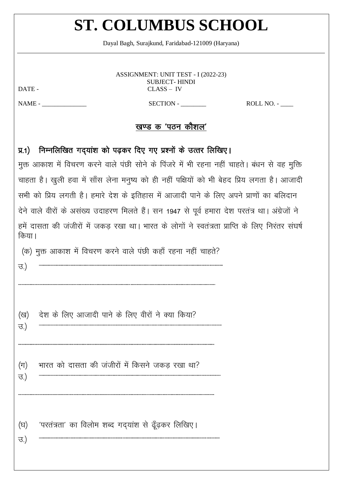Daval Bagh, Suraikund, Faridabad-121009 (Harvana)

ASSIGNMENT: UNIT TEST - I (2022-23) **SUBJECT-HINDI**  $CLASS – IV$ 

DATE -

 $NAME -$ 

#### SECTION -

ROLL NO. -

### खण्ड क 'पठन कौशल'

### प्र.1) निम्नलिखित गद्यांश को पढ़कर दिए गए प्रश्नों के उत्तर लिखिए।

मुक्त आकाश में विचरण करने वाले पंछी सोने के पिंजरे में भी रहना नहीं चाहते। बंधन से वह मुक्ति चाहता है। खुली हवा में साँस लेना मनुष्य को ही नहीं पक्षियों को भी बेहद प्रिय लगता है। आजादी सभी को प्रिय लगती है। हमारे देश के इतिहास में आजादी पाने के लिए अपने प्राणों का बलिदान देने वाले वीरों के असंख्य उदाहरण मिलते हैं। सन 1947 से पूर्व हमारा देश परतंत्र था। अंग्रेजों ने हमें दासता की जंजीरों में जकड़ रखा था। भारत के लोगों ने स्वतंत्रता प्राप्ति के लिए निरंतर संघर्ष किया।

(क) मुक्त आकाश में विचरण करने वाले पंछी कहाँ रहना नहीं चाहते?

 $\overline{B}$ )

देश के लिए आजादी पाने के लिए वीरों ने क्या किया? (ख)

 $\overline{B}$ )

 $(\Pi)$  $\overline{3}$ )

भारत को दासता की जंजीरों में किसने जकड़ रखा था?

'परतंत्रता' का विलोम शब्द गदयांश से ढूँढकर लिखिए। (घ)

 $\overline{B}$ )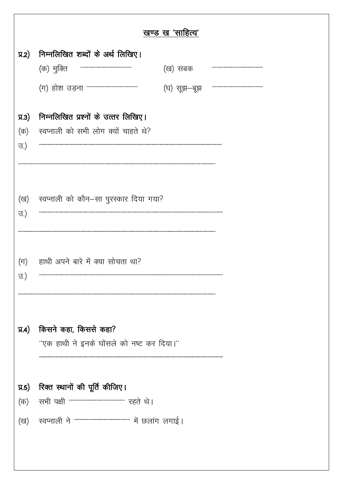|                    |                                                            | खण्ड ख 'साहित्य' |  |
|--------------------|------------------------------------------------------------|------------------|--|
|                    | प्र.2) निम्नलिखित शब्दों के अर्थ लिखिए।                    |                  |  |
|                    | (क) मुक्ति                                                 | (ख) सबक          |  |
|                    | (ग) होश उड़ना """"""""""""""""""""""""""                   | (घ) सूझ—बूझ      |  |
| $\overline{y}$ .3) | निम्नलिखित प्रश्नों के उत्तर लिखिए।                        |                  |  |
| (क)                | स्वप्नाली को सभी लोग क्यों चाहते थे?                       |                  |  |
| ਚ.)                |                                                            |                  |  |
|                    |                                                            |                  |  |
|                    | (ख) स्वप्नाली को कौन-सा पुरस्कार दिया गया?                 |                  |  |
| <u>ਚ.)</u>         |                                                            |                  |  |
|                    |                                                            |                  |  |
|                    | हाथी अपने बारे में क्या सोचता था?                          |                  |  |
| $(\Pi)$<br>ਚ.)     |                                                            |                  |  |
|                    |                                                            |                  |  |
|                    |                                                            |                  |  |
| $\overline{A}$     | किसने कहा, किससे कहा?                                      |                  |  |
|                    | "एक हाथी ने इनके घोंसले को नष्ट कर दिया।"                  |                  |  |
|                    |                                                            |                  |  |
| $\overline{y}$ .5) | रिक्त स्थानों की पूर्ति कीजिए।                             |                  |  |
| (क)                | सभी पक्षी """""""""""""""""""""""""""" रहते थे।            |                  |  |
| (ख)                | रवप्नाली ने """""""""""""""""""""""""""""" में छलांग लगाई। |                  |  |
|                    |                                                            |                  |  |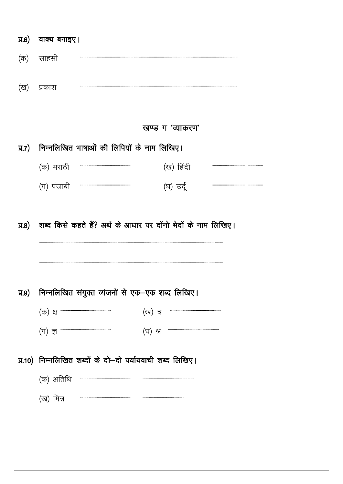| <b>A.6</b>         | वाक्य बनाइए।                                              |                                                   |
|--------------------|-----------------------------------------------------------|---------------------------------------------------|
| (क)                | साहसी                                                     |                                                   |
| (ख)                | प्रकाश                                                    |                                                   |
|                    |                                                           |                                                   |
|                    |                                                           | खण्ड ग 'व्याकरण'                                  |
| $\overline{A}$ .7) | निम्नलिखित भाषाओं की लिपियों के नाम लिखिए।                |                                                   |
|                    | (क) मराठी                                                 | (ख) हिंदी                                         |
|                    | (ग) पंजाबी                                                | (घ) उर्दू                                         |
|                    |                                                           |                                                   |
| <b>प्र.9)</b>      | निम्नलिखित संयुक्त व्यंजनों से एक-एक शब्द लिखिए।          |                                                   |
|                    |                                                           | (ख) त्र<br>,,,,,,,,,,,,,,,,,,,,,,,,,,,,,,,,,,,,,, |
|                    | $(\mathrm{d} \mathbf{r})$ व्य                             | (घ) श्र                                           |
|                    | प्र.10) निम्नलिखित शब्दों के दो-दो पर्यायवाची शब्द लिखिए। |                                                   |
|                    | (क) अतिथि                                                 |                                                   |